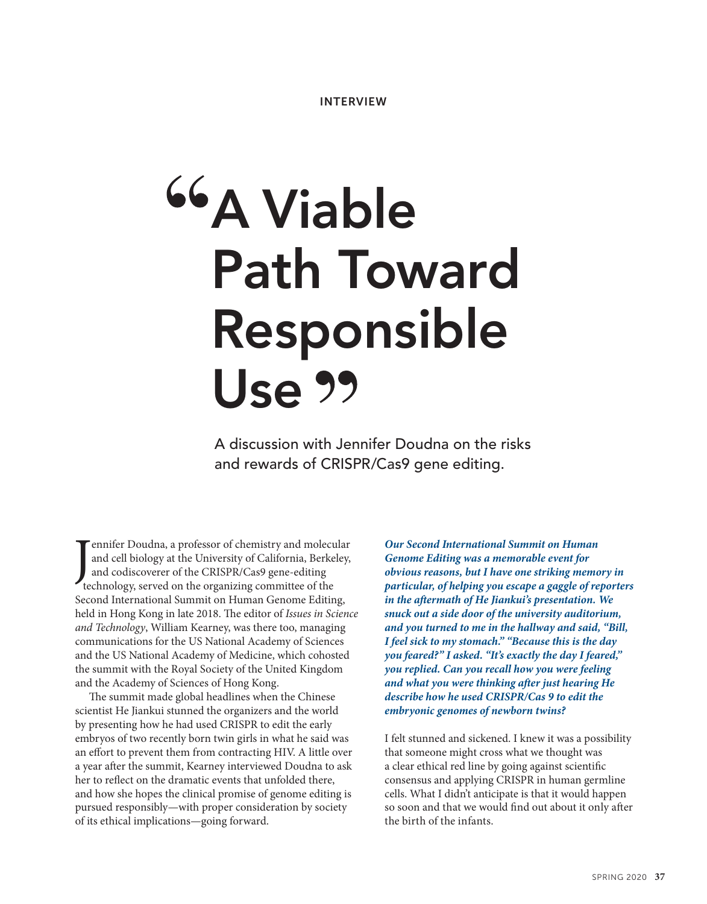# **A Viable Path Toward Responsible Use**

A discussion with Jennifer Doudna on the risks and rewards of CRISPR/Cas9 gene editing.

Jennifer Doudna, a professor of chemistry and molecular and cell biology at the University of California, Berke<br>and codiscoverer of the CRISPR/Cas9 gene-editing<br>technology, served on the organizing committee of the ennifer Doudna, a professor of chemistry and molecular and cell biology at the University of California, Berkeley, and codiscoverer of the CRISPR/Cas9 gene-editing Second International Summit on Human Genome Editing, held in Hong Kong in late 2018. The editor of *Issues in Science and Technology*, William Kearney, was there too, managing communications for the US National Academy of Sciences and the US National Academy of Medicine, which cohosted the summit with the Royal Society of the United Kingdom and the Academy of Sciences of Hong Kong.

The summit made global headlines when the Chinese scientist He Jiankui stunned the organizers and the world by presenting how he had used CRISPR to edit the early embryos of two recently born twin girls in what he said was an effort to prevent them from contracting HIV. A little over a year after the summit, Kearney interviewed Doudna to ask her to reflect on the dramatic events that unfolded there, and how she hopes the clinical promise of genome editing is pursued responsibly—with proper consideration by society of its ethical implications—going forward.

*Our Second International Summit on Human Genome Editing was a memorable event for obvious reasons, but I have one striking memory in particular, of helping you escape a gaggle of reporters in the aftermath of He Jiankui's presentation. We snuck out a side door of the university auditorium, and you turned to me in the hallway and said, "Bill, I feel sick to my stomach." "Because this is the day you feared?" I asked. "It's exactly the day I feared," you replied. Can you recall how you were feeling and what you were thinking after just hearing He describe how he used CRISPR/Cas 9 to edit the embryonic genomes of newborn twins?*

I felt stunned and sickened. I knew it was a possibility that someone might cross what we thought was a clear ethical red line by going against scientific consensus and applying CRISPR in human germline cells. What I didn't anticipate is that it would happen so soon and that we would find out about it only after the birth of the infants.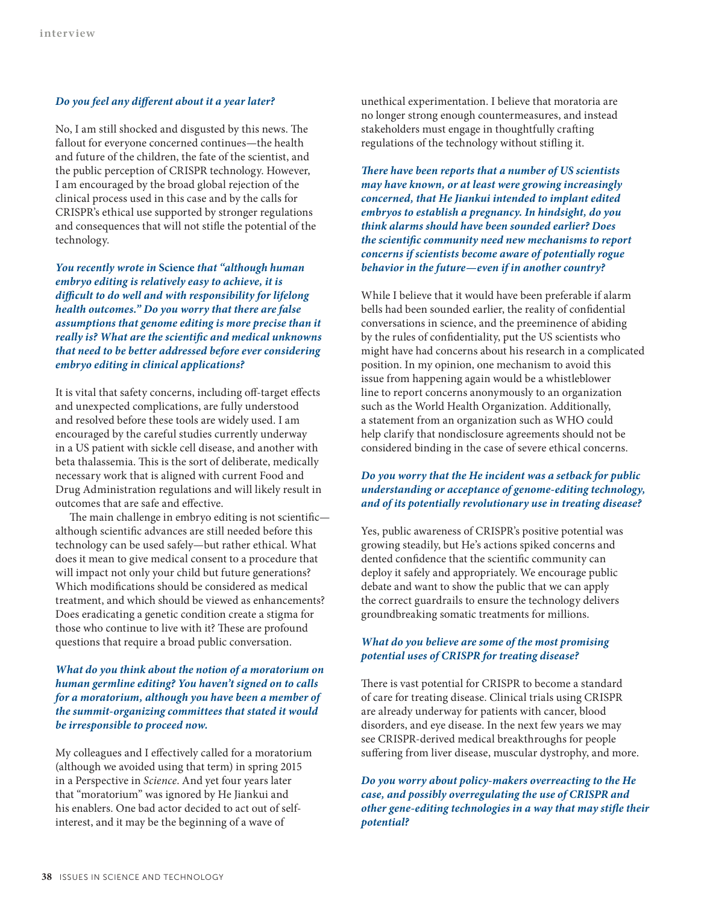### *Do you feel any different about it a year later?*

No, I am still shocked and disgusted by this news. The fallout for everyone concerned continues—the health and future of the children, the fate of the scientist, and the public perception of CRISPR technology. However, I am encouraged by the broad global rejection of the clinical process used in this case and by the calls for CRISPR's ethical use supported by stronger regulations and consequences that will not stifle the potential of the technology.

*You recently wrote in* **Science** *that "although human embryo editing is relatively easy to achieve, it is difficult to do well and with responsibility for lifelong health outcomes." Do you worry that there are false assumptions that genome editing is more precise than it really is? What are the scientific and medical unknowns that need to be better addressed before ever considering embryo editing in clinical applications?*

It is vital that safety concerns, including off-target effects and unexpected complications, are fully understood and resolved before these tools are widely used. I am encouraged by the careful studies currently underway in a US patient with sickle cell disease, and another with beta thalassemia. This is the sort of deliberate, medically necessary work that is aligned with current Food and Drug Administration regulations and will likely result in outcomes that are safe and effective.

The main challenge in embryo editing is not scientific although scientific advances are still needed before this technology can be used safely—but rather ethical. What does it mean to give medical consent to a procedure that will impact not only your child but future generations? Which modifications should be considered as medical treatment, and which should be viewed as enhancements? Does eradicating a genetic condition create a stigma for those who continue to live with it? These are profound questions that require a broad public conversation.

# *What do you think about the notion of a moratorium on human germline editing? You haven't signed on to calls for a moratorium, although you have been a member of the summit-organizing committees that stated it would be irresponsible to proceed now.*

My colleagues and I effectively called for a moratorium (although we avoided using that term) in spring 2015 in a Perspective in *Science*. And yet four years later that "moratorium" was ignored by He Jiankui and his enablers. One bad actor decided to act out of selfinterest, and it may be the beginning of a wave of

unethical experimentation. I believe that moratoria are no longer strong enough countermeasures, and instead stakeholders must engage in thoughtfully crafting regulations of the technology without stifling it.

*There have been reports that a number of US scientists may have known, or at least were growing increasingly concerned, that He Jiankui intended to implant edited embryos to establish a pregnancy. In hindsight, do you think alarms should have been sounded earlier? Does the scientific community need new mechanisms to report concerns if scientists become aware of potentially rogue behavior in the future—even if in another country?*

While I believe that it would have been preferable if alarm bells had been sounded earlier, the reality of confidential conversations in science, and the preeminence of abiding by the rules of confidentiality, put the US scientists who might have had concerns about his research in a complicated position. In my opinion, one mechanism to avoid this issue from happening again would be a whistleblower line to report concerns anonymously to an organization such as the World Health Organization. Additionally, a statement from an organization such as WHO could help clarify that nondisclosure agreements should not be considered binding in the case of severe ethical concerns.

# *Do you worry that the He incident was a setback for public understanding or acceptance of genome-editing technology, and of its potentially revolutionary use in treating disease?*

Yes, public awareness of CRISPR's positive potential was growing steadily, but He's actions spiked concerns and dented confidence that the scientific community can deploy it safely and appropriately. We encourage public debate and want to show the public that we can apply the correct guardrails to ensure the technology delivers groundbreaking somatic treatments for millions.

# *What do you believe are some of the most promising potential uses of CRISPR for treating disease?*

There is vast potential for CRISPR to become a standard of care for treating disease. Clinical trials using CRISPR are already underway for patients with cancer, blood disorders, and eye disease. In the next few years we may see CRISPR-derived medical breakthroughs for people suffering from liver disease, muscular dystrophy, and more.

*Do you worry about policy-makers overreacting to the He case, and possibly overregulating the use of CRISPR and other gene-editing technologies in a way that may stifle their potential?*